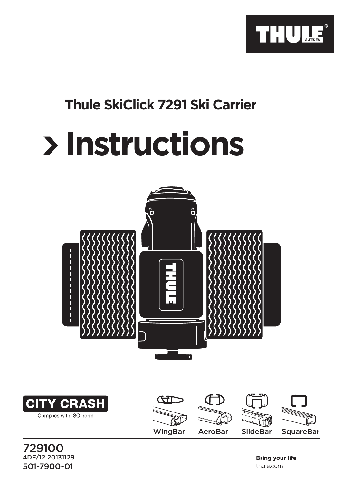

## **Thule SkiClick 7291 Ski Carrier**

## **Instructions**





<u>501-7900-01</u> 1<br>501-7900-01 1 729100 4DF/12.20131129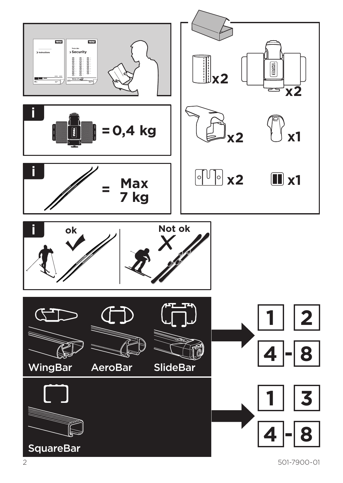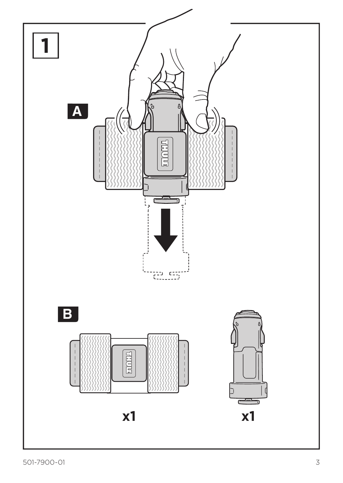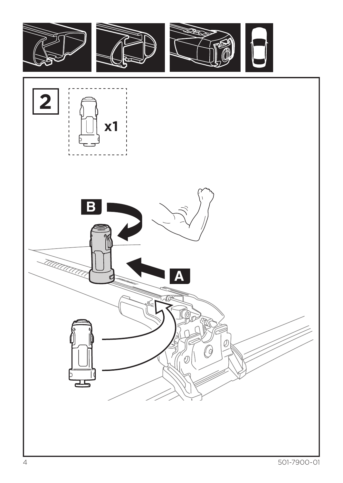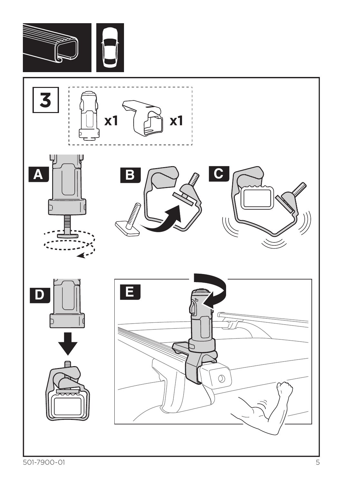

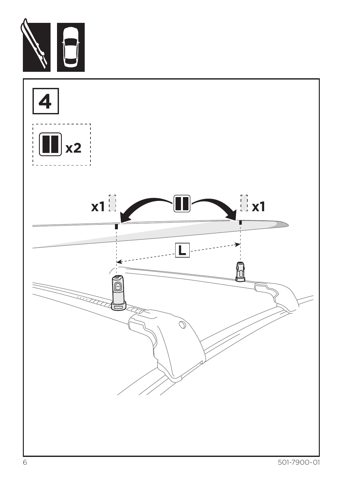

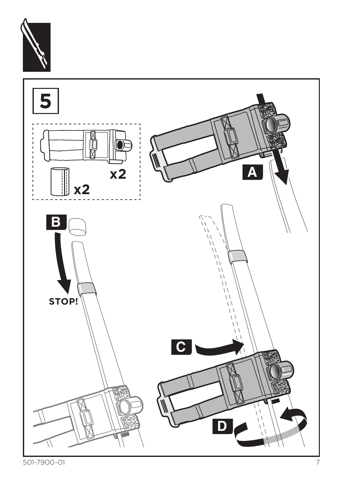

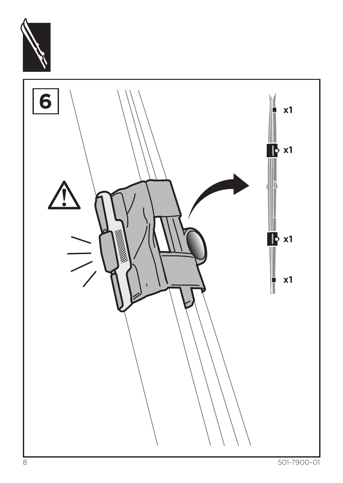

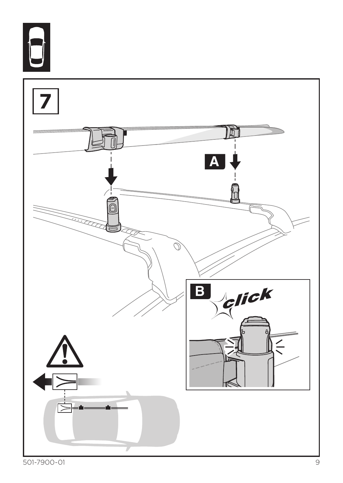

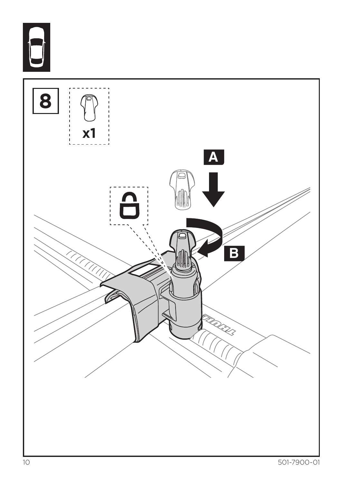

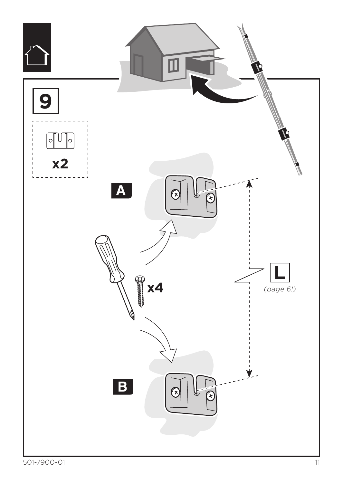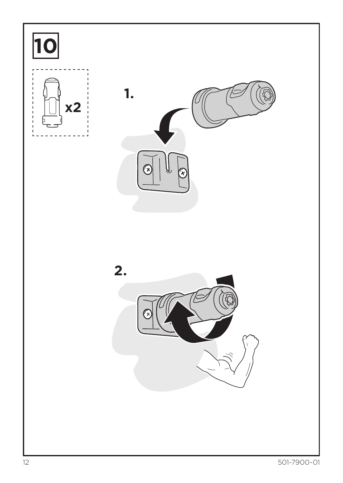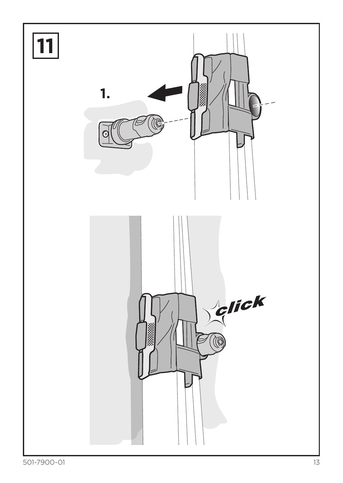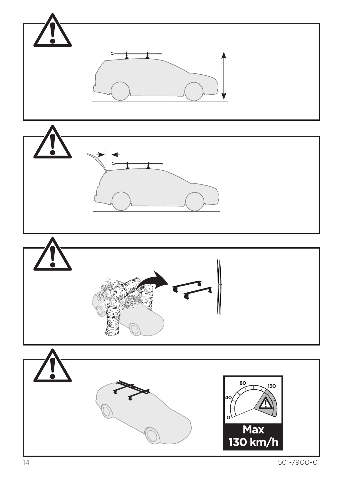